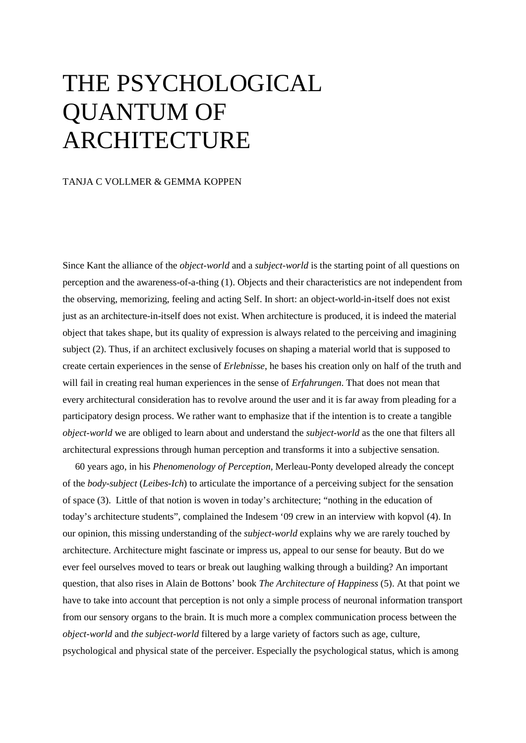## THE PSYCHOLOGICAL QUANTUM OF ARCHITECTURE

## TANJA C VOLLMER & GEMMA KOPPEN

Since Kant the alliance of the *object-world* and a *subject-world* is the starting point of all questions on perception and the awareness-of-a-thing (1). Objects and their characteristics are not independent from the observing, memorizing, feeling and acting Self. In short: an object-world-in-itself does not exist just as an architecture-in-itself does not exist. When architecture is produced, it is indeed the material object that takes shape, but its quality of expression is always related to the perceiving and imagining subject (2). Thus, if an architect exclusively focuses on shaping a material world that is supposed to create certain experiences in the sense of *Erlebnisse*, he bases his creation only on half of the truth and will fail in creating real human experiences in the sense of *Erfahrungen*. That does not mean that every architectural consideration has to revolve around the user and it is far away from pleading for a participatory design process. We rather want to emphasize that if the intention is to create a tangible *object-world* we are obliged to learn about and understand the *subject-world* as the one that filters all architectural expressions through human perception and transforms it into a subjective sensation.

60 years ago, in his *Phenomenology of Perception,* Merleau-Ponty developed already the concept of the *body-subject* (*Leibes-Ich*) to articulate the importance of a perceiving subject for the sensation of space (3). Little of that notion is woven in today's architecture; "nothing in the education of today's architecture students", complained the Indesem '09 crew in an interview with kopvol (4). In our opinion, this missing understanding of the *subject-world* explains why we are rarely touched by architecture. Architecture might fascinate or impress us, appeal to our sense for beauty. But do we ever feel ourselves moved to tears or break out laughing walking through a building? An important question, that also rises in Alain de Bottons' book *The Architecture of Happiness* (5). At that point we have to take into account that perception is not only a simple process of neuronal information transport from our sensory organs to the brain. It is much more a complex communication process between the *object-world* and *the subject-world* filtered by a large variety of factors such as age, culture, psychological and physical state of the perceiver. Especially the psychological status, which is among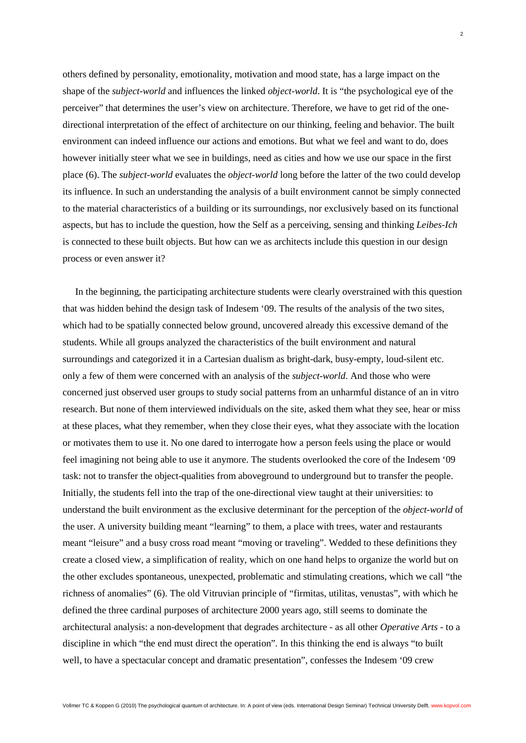others defined by personality, emotionality, motivation and mood state, has a large impact on the shape of the *subject-world* and influences the linked *object-world*. It is "the psychological eye of the perceiver" that determines the user's view on architecture. Therefore, we have to get rid of the onedirectional interpretation of the effect of architecture on our thinking, feeling and behavior. The built environment can indeed influence our actions and emotions. But what we feel and want to do, does however initially steer what we see in buildings, need as cities and how we use our space in the first place (6). The *subject-world* evaluates the *object-world* long before the latter of the two could develop its influence. In such an understanding the analysis of a built environment cannot be simply connected to the material characteristics of a building or its surroundings, nor exclusively based on its functional aspects, but has to include the question, how the Self as a perceiving, sensing and thinking *Leibes-Ich*  is connected to these built objects. But how can we as architects include this question in our design process or even answer it?

In the beginning, the participating architecture students were clearly overstrained with this question that was hidden behind the design task of Indesem '09. The results of the analysis of the two sites, which had to be spatially connected below ground, uncovered already this excessive demand of the students. While all groups analyzed the characteristics of the built environment and natural surroundings and categorized it in a Cartesian dualism as bright-dark, busy-empty, loud-silent etc. only a few of them were concerned with an analysis of the *subject-world*. And those who were concerned just observed user groups to study social patterns from an unharmful distance of an in vitro research. But none of them interviewed individuals on the site, asked them what they see, hear or miss at these places, what they remember, when they close their eyes, what they associate with the location or motivates them to use it. No one dared to interrogate how a person feels using the place or would feel imagining not being able to use it anymore. The students overlooked the core of the Indesem '09 task: not to transfer the object-qualities from aboveground to underground but to transfer the people. Initially, the students fell into the trap of the one-directional view taught at their universities: to understand the built environment as the exclusive determinant for the perception of the *object-world* of the user. A university building meant "learning" to them, a place with trees, water and restaurants meant "leisure" and a busy cross road meant "moving or traveling". Wedded to these definitions they create a closed view, a simplification of reality, which on one hand helps to organize the world but on the other excludes spontaneous, unexpected, problematic and stimulating creations, which we call "the richness of anomalies" (6). The old Vitruvian principle of "firmitas, utilitas, venustas", with which he defined the three cardinal purposes of architecture 2000 years ago, still seems to dominate the architectural analysis: a non-development that degrades architecture - as all other *Operative Arts -* to a discipline in which "the end must direct the operation". In this thinking the end is always "to built well, to have a spectacular concept and dramatic presentation", confesses the Indesem '09 crew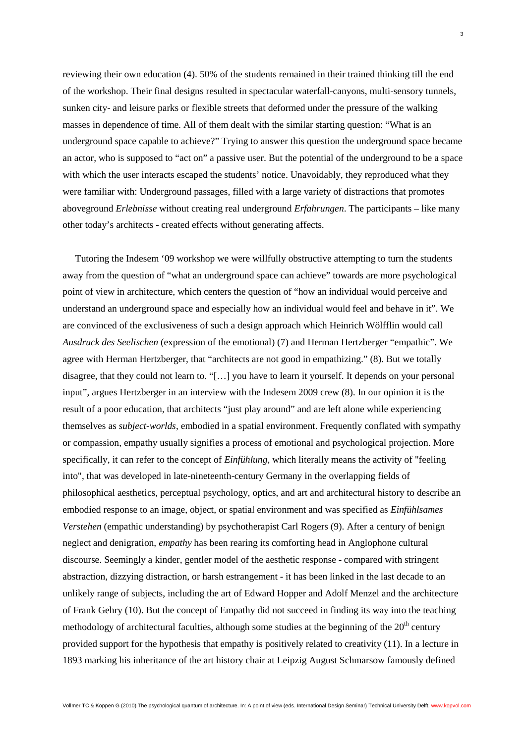reviewing their own education (4). 50% of the students remained in their trained thinking till the end of the workshop. Their final designs resulted in spectacular waterfall-canyons, multi-sensory tunnels, sunken city- and leisure parks or flexible streets that deformed under the pressure of the walking masses in dependence of time. All of them dealt with the similar starting question: "What is an underground space capable to achieve?" Trying to answer this question the underground space became an actor, who is supposed to "act on" a passive user. But the potential of the underground to be a space with which the user interacts escaped the students' notice. Unavoidably, they reproduced what they were familiar with: Underground passages, filled with a large variety of distractions that promotes aboveground *Erlebnisse* without creating real underground *Erfahrungen*. The participants – like many other today's architects - created effects without generating affects.

Tutoring the Indesem '09 workshop we were willfully obstructive attempting to turn the students away from the question of "what an underground space can achieve" towards are more psychological point of view in architecture, which centers the question of "how an individual would perceive and understand an underground space and especially how an individual would feel and behave in it". We are convinced of the exclusiveness of such a design approach which Heinrich Wölfflin would call *Ausdruck des Seelischen* (expression of the emotional) (7) and Herman Hertzberger "empathic". We agree with Herman Hertzberger, that "architects are not good in empathizing." (8). But we totally disagree, that they could not learn to. "[…] you have to learn it yourself. It depends on your personal input", argues Hertzberger in an interview with the Indesem 2009 crew (8). In our opinion it is the result of a poor education, that architects "just play around" and are left alone while experiencing themselves as *subject-worlds*, embodied in a spatial environment. Frequently conflated with sympathy or compassion, empathy usually signifies a process of emotional and psychological projection. More specifically, it can refer to the concept of *Einfühlung*, which literally means the activity of "feeling into", that was developed in late-nineteenth-century Germany in the overlapping fields of philosophical aesthetics, perceptual psychology, optics, and art and architectural history to describe an embodied response to an image, object, or spatial environment and was specified as *Einfühlsames Verstehen* (empathic understanding) by psychotherapist Carl Rogers (9). After a century of benign neglect and denigration, *empathy* has been rearing its comforting head in Anglophone cultural discourse. Seemingly a kinder, gentler model of the aesthetic response - compared with stringent abstraction, dizzying distraction, or harsh estrangement - it has been linked in the last decade to an unlikely range of subjects, including the art of Edward Hopper and Adolf Menzel and the architecture of Frank Gehry (10). But the concept of Empathy did not succeed in finding its way into the teaching methodology of architectural faculties, although some studies at the beginning of the  $20<sup>th</sup>$  century provided support for the hypothesis that empathy is positively related to creativity (11). In a lecture in 1893 marking his inheritance of the art history chair at Leipzig August Schmarsow famously defined